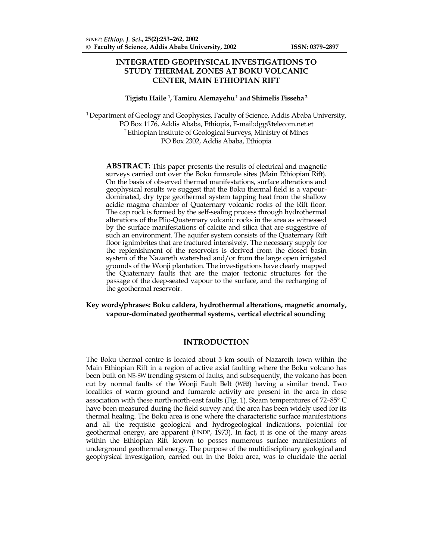# **INTEGRATED GEOPHYSICAL INVESTIGATIONS TO STUDY THERMAL ZONES AT BOKU VOLCANIC CENTER, MAIN ETHIOPIAN RIFT**

#### **Tigistu Haile 1 , Tamiru Alemayehu 1 and Shimelis Fisseha 2**

1 Department of Geology and Geophysics, Faculty of Science, Addis Ababa University, PO Box 1176, Addis Ababa, Ethiopia, E-mail:dgg@telecom.net.et 2 Ethiopian Institute of Geological Surveys, Ministry of Mines PO Box 2302, Addis Ababa, Ethiopia

**ABSTRACT:** This paper presents the results of electrical and magnetic surveys carried out over the Boku fumarole sites (Main Ethiopian Rift). On the basis of observed thermal manifestations, surface alterations and geophysical results we suggest that the Boku thermal field is a vapourdominated, dry type geothermal system tapping heat from the shallow acidic magma chamber of Quaternary volcanic rocks of the Rift floor. The cap rock is formed by the self-sealing process through hydrothermal alterations of the Plio-Quaternary volcanic rocks in the area as witnessed by the surface manifestations of calcite and silica that are suggestive of such an environment. The aquifer system consists of the Quaternary Rift floor ignimbrites that are fractured intensively. The necessary supply for the replenishment of the reservoirs is derived from the closed basin system of the Nazareth watershed and/or from the large open irrigated grounds of the Wonji plantation. The investigations have clearly mapped the Quaternary faults that are the major tectonic structures for the passage of the deep-seated vapour to the surface, and the recharging of the geothermal reservoir.

## **Key words/phrases: Boku caldera, hydrothermal alterations, magnetic anomaly, vapour-dominated geothermal systems, vertical electrical sounding**

## **INTRODUCTION**

The Boku thermal centre is located about 5 km south of Nazareth town within the Main Ethiopian Rift in a region of active axial faulting where the Boku volcano has been built on NE-SW trending system of faults, and subsequently, the volcano has been cut by normal faults of the Wonji Fault Belt (WFB) having a similar trend. Two localities of warm ground and fumarole activity are present in the area in close association with these north-north-east faults (Fig. 1). Steam temperatures of 72–85° C have been measured during the field survey and the area has been widely used for its thermal healing. The Boku area is one where the characteristic surface manifestations and all the requisite geological and hydrogeological indications, potential for geothermal energy, are apparent (UNDP, 1973). In fact, it is one of the many areas within the Ethiopian Rift known to posses numerous surface manifestations of underground geothermal energy. The purpose of the multidisciplinary geological and geophysical investigation, carried out in the Boku area, was to elucidate the aerial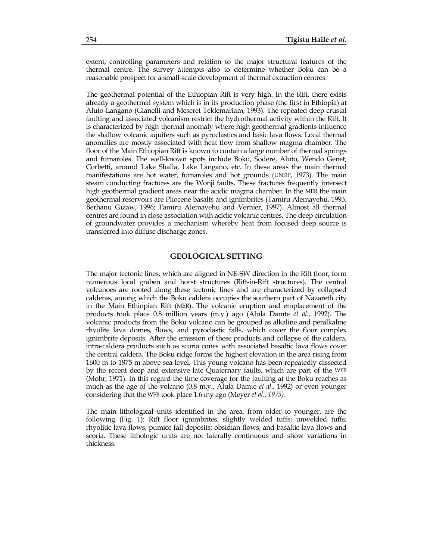extent, controlling parameters and relation to the major structural features of the thermal centre. The survey attempts also to determine whether Boku can be a reasonable prospect for a small-scale development of thermal extraction centres.

The geothermal potential of the Ethiopian Rift is very high. In the Rift, there exists already a geothermal system which is in its production phase (the first in Ethiopia) at Aluto-Langano (Gianelli and Meseret Teklemariam, 1993). The repeated deep crustal faulting and associated volcanism restrict the hydrothermal activity within the Rift. It is characterized by high thermal anomaly where high geothermal gradients influence the shallow volcanic aquifers such as pyroclastics and basic lava flows. Local thermal anomalies are mostly associated with heat flow from shallow magma chamber. The floor of the Main Ethiopian Rift is known to contain a large number of thermal springs and fumaroles. The well-known spots include Boku, Sodere, Aluto, Wendo Genet, Corbetti, around Lake Shalla, Lake Langano, etc. In these areas the main thermal manifestations are hot water, fumaroles and hot grounds (UNDP, 1973). The main steam conducting fractures are the Wonji faults. These fractures frequently intersect high geothermal gradient areas near the acidic magma chamber. In the MER the main geothermal reservoirs are Pliocene basalts and ignimbrites (Tamiru Alemayehu, 1993; Berhanu Gizaw, 1996; Tamiru Alemayehu and Vernier, 1997). Almost all thermal centres are found in close association with acidic volcanic centres. The deep circulation of groundwater provides a mechanism whereby heat from focused deep source is transferred into diffuse discharge zones.

### **GEOLOGICAL SETTING**

The major tectonic lines, which are aligned in NE-SW direction in the Rift floor, form numerous local graben and horst structures (Rift-in-Rift structures). The central volcanoes are rooted along these tectonic lines and are characterized by collapsed calderas, among which the Boku caldera occupies the southern part of Nazareth city in the Main Ethiopian Rift (MER). The volcanic eruption and emplacement of the products took place 0.8 million years (m.y.) ago (Alula Damte *et al*., 1992). The volcanic products from the Boku volcano can be grouped as alkaline and peralkaline rhyolite lava domes, flows, and pyroclastic falls, which cover the floor complex ignimbrite deposits. After the emission of these products and collapse of the caldera, intra-caldera products such as scoria cones with associated basaltic lava flows cover the central caldera. The Boku ridge forms the highest elevation in the area rising from 1600 m to 1875 m above sea level. This young volcano has been repeatedly dissected by the recent deep and extensive late Quaternary faults, which are part of the WFB (Mohr, 1971). In this regard the time coverage for the faulting at the Boku reaches as much as the age of the volcano (0.8 m.y., Alula Damte *et al*., 1992) or even younger considering that the WFB took place 1.6 my ago (Meyer *et al*., *1975).*

The main lithological units identified in the area, from older to younger, are the following (Fig. 1): Rift floor ignimbrites; slightly welded tuffs; unwelded tuffs; rhyolitic lava flows; pumice fall deposits; obsidian flows, and basaltic lava flows and scoria. These lithologic units are not laterally continuous and show variations in thickness.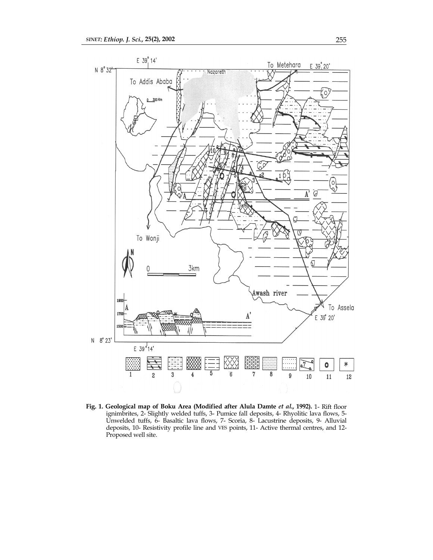

**Fig. 1. Geological map of Boku Area (Modified after Alula Damte** *et al***., 1992).** 1- Rift floor ignimbrites, 2- Slightly welded tuffs, 3- Pumice fall deposits, 4- Rhyolitic lava flows, 5- Unwelded tuffs, 6- Basaltic lava flows, 7- Scoria, 8- Lacustrine deposits, 9- Alluvial deposits, 10- Resistivity profile line and VES points, 11- Active thermal centres, and 12- Proposed well site.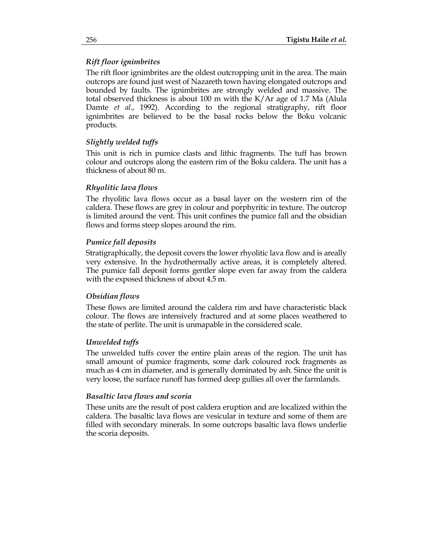# *Rift floor ignimbrites*

The rift floor ignimbrites are the oldest outcropping unit in the area. The main outcrops are found just west of Nazareth town having elongated outcrops and bounded by faults. The ignimbrites are strongly welded and massive. The total observed thickness is about 100 m with the K/Ar age of 1.7 Ma (Alula Damte *et al*., 1992). According to the regional stratigraphy, rift floor ignimbrites are believed to be the basal rocks below the Boku volcanic products.

# *Slightly welded tuffs*

This unit is rich in pumice clasts and lithic fragments. The tuff has brown colour and outcrops along the eastern rim of the Boku caldera. The unit has a thickness of about 80 m.

# *Rhyolitic lava flows*

The rhyolitic lava flows occur as a basal layer on the western rim of the caldera. These flows are grey in colour and porphyritic in texture. The outcrop is limited around the vent. This unit confines the pumice fall and the obsidian flows and forms steep slopes around the rim.

# *Pumice fall deposits*

Stratigraphically, the deposit covers the lower rhyolitic lava flow and is areally very extensive. In the hydrothermally active areas, it is completely altered. The pumice fall deposit forms gentler slope even far away from the caldera with the exposed thickness of about 4.5 m.

# *Obsidian flows*

These flows are limited around the caldera rim and have characteristic black colour. The flows are intensively fractured and at some places weathered to the state of perlite. The unit is unmapable in the considered scale.

# *Unwelded tuffs*

The unwelded tuffs cover the entire plain areas of the region. The unit has small amount of pumice fragments, some dark coloured rock fragments as much as 4 cm in diameter, and is generally dominated by ash. Since the unit is very loose, the surface runoff has formed deep gullies all over the farmlands.

# *Basaltic lava flows and scoria*

These units are the result of post caldera eruption and are localized within the caldera. The basaltic lava flows are vesicular in texture and some of them are filled with secondary minerals. In some outcrops basaltic lava flows underlie the scoria deposits.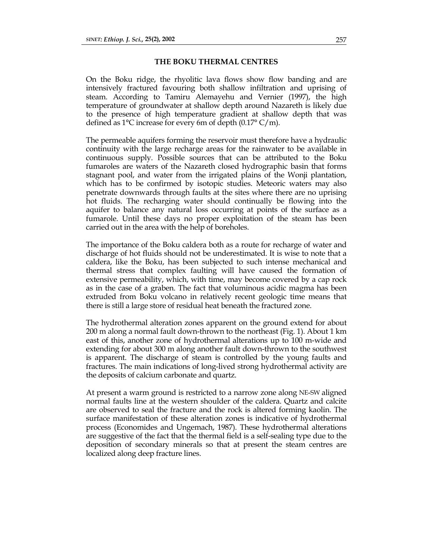### **THE BOKU THERMAL CENTRES**

On the Boku ridge, the rhyolitic lava flows show flow banding and are intensively fractured favouring both shallow infiltration and uprising of steam. According to Tamiru Alemayehu and Vernier (1997), the high temperature of groundwater at shallow depth around Nazareth is likely due to the presence of high temperature gradient at shallow depth that was defined as 1°C increase for every 6m of depth (0.17° C/m).

The permeable aquifers forming the reservoir must therefore have a hydraulic continuity with the large recharge areas for the rainwater to be available in continuous supply. Possible sources that can be attributed to the Boku fumaroles are waters of the Nazareth closed hydrographic basin that forms stagnant pool, and water from the irrigated plains of the Wonji plantation, which has to be confirmed by isotopic studies. Meteoric waters may also penetrate downwards through faults at the sites where there are no uprising hot fluids. The recharging water should continually be flowing into the aquifer to balance any natural loss occurring at points of the surface as a fumarole. Until these days no proper exploitation of the steam has been carried out in the area with the help of boreholes.

The importance of the Boku caldera both as a route for recharge of water and discharge of hot fluids should not be underestimated. It is wise to note that a caldera, like the Boku, has been subjected to such intense mechanical and thermal stress that complex faulting will have caused the formation of extensive permeability, which, with time, may become covered by a cap rock as in the case of a graben. The fact that voluminous acidic magma has been extruded from Boku volcano in relatively recent geologic time means that there is still a large store of residual heat beneath the fractured zone.

The hydrothermal alteration zones apparent on the ground extend for about 200 m along a normal fault down-thrown to the northeast (Fig. 1). About 1 km east of this, another zone of hydrothermal alterations up to 100 m-wide and extending for about 300 m along another fault down-thrown to the southwest is apparent. The discharge of steam is controlled by the young faults and fractures. The main indications of long-lived strong hydrothermal activity are the deposits of calcium carbonate and quartz.

At present a warm ground is restricted to a narrow zone along NE-SW aligned normal faults line at the western shoulder of the caldera. Quartz and calcite are observed to seal the fracture and the rock is altered forming kaolin. The surface manifestation of these alteration zones is indicative of hydrothermal process (Economides and Ungemach, 1987). These hydrothermal alterations are suggestive of the fact that the thermal field is a self-sealing type due to the deposition of secondary minerals so that at present the steam centres are localized along deep fracture lines.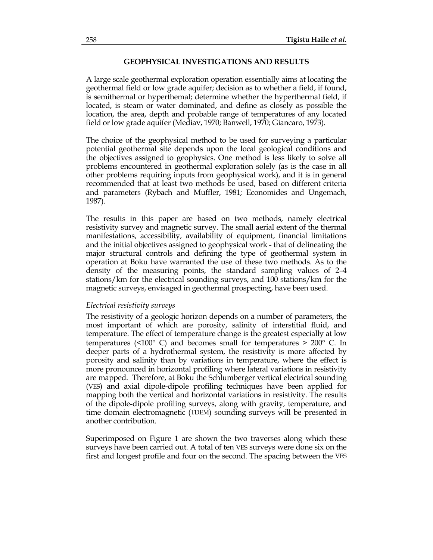### **GEOPHYSICAL INVESTIGATIONS AND RESULTS**

A large scale geothermal exploration operation essentially aims at locating the geothermal field or low grade aquifer; decision as to whether a field, if found, is semithermal or hyperthemal; determine whether the hyperthermal field, if located, is steam or water dominated, and define as closely as possible the location, the area, depth and probable range of temperatures of any located field or low grade aquifer (Mediav, 1970; Banwell, 1970; Giancaro, 1973).

The choice of the geophysical method to be used for surveying a particular potential geothermal site depends upon the local geological conditions and the objectives assigned to geophysics. One method is less likely to solve all problems encountered in geothermal exploration solely (as is the case in all other problems requiring inputs from geophysical work), and it is in general recommended that at least two methods be used, based on different criteria and parameters (Rybach and Muffler, 1981; Economides and Ungemach, 1987).

The results in this paper are based on two methods, namely electrical resistivity survey and magnetic survey. The small aerial extent of the thermal manifestations, accessibility, availability of equipment, financial limitations and the initial objectives assigned to geophysical work - that of delineating the major structural controls and defining the type of geothermal system in operation at Boku have warranted the use of these two methods. As to the density of the measuring points, the standard sampling values of 2–4 stations/km for the electrical sounding surveys, and 100 stations/km for the magnetic surveys, envisaged in geothermal prospecting, have been used.

#### *Electrical resistivity surveys*

The resistivity of a geologic horizon depends on a number of parameters, the most important of which are porosity, salinity of interstitial fluid, and temperature. The effect of temperature change is the greatest especially at low temperatures  $\langle 5100^\circ \text{ C} \rangle$  and becomes small for temperatures  $> 200^\circ \text{ C}$ . In deeper parts of a hydrothermal system, the resistivity is more affected by porosity and salinity than by variations in temperature, where the effect is more pronounced in horizontal profiling where lateral variations in resistivity are mapped. Therefore, at Boku the Schlumberger vertical electrical sounding (VES) and axial dipole-dipole profiling techniques have been applied for mapping both the vertical and horizontal variations in resistivity. The results of the dipole-dipole profiling surveys, along with gravity, temperature, and time domain electromagnetic (TDEM) sounding surveys will be presented in another contribution.

Superimposed on Figure 1 are shown the two traverses along which these surveys have been carried out. A total of ten VES surveys were done six on the first and longest profile and four on the second. The spacing between the VES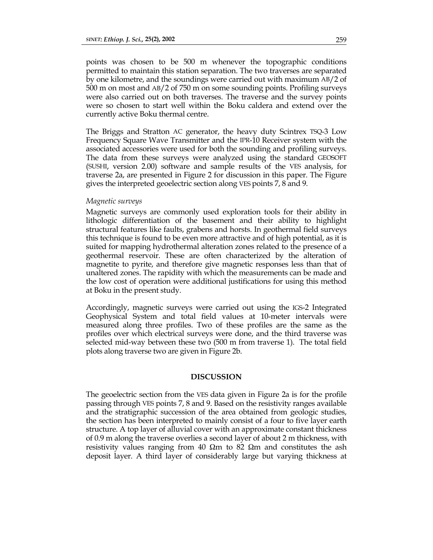points was chosen to be 500 m whenever the topographic conditions permitted to maintain this station separation. The two traverses are separated by one kilometre, and the soundings were carried out with maximum AB/2 of 500 m on most and AB/2 of 750 m on some sounding points. Profiling surveys were also carried out on both traverses. The traverse and the survey points were so chosen to start well within the Boku caldera and extend over the currently active Boku thermal centre.

The Briggs and Stratton AC generator, the heavy duty Scintrex TSQ-3 Low Frequency Square Wave Transmitter and the IPR-10 Receiver system with the associated accessories were used for both the sounding and profiling surveys. The data from these surveys were analyzed using the standard GEOSOFT (SUSHI, version 2.00) software and sample results of the VES analysis, for traverse 2a, are presented in Figure 2 for discussion in this paper. The Figure gives the interpreted geoelectric section along VES points 7, 8 and 9.

#### *Magnetic surveys*

Magnetic surveys are commonly used exploration tools for their ability in lithologic differentiation of the basement and their ability to highlight structural features like faults, grabens and horsts. In geothermal field surveys this technique is found to be even more attractive and of high potential, as it is suited for mapping hydrothermal alteration zones related to the presence of a geothermal reservoir. These are often characterized by the alteration of magnetite to pyrite, and therefore give magnetic responses less than that of unaltered zones. The rapidity with which the measurements can be made and the low cost of operation were additional justifications for using this method at Boku in the present study.

Accordingly, magnetic surveys were carried out using the IGS-2 Integrated Geophysical System and total field values at 10-meter intervals were measured along three profiles. Two of these profiles are the same as the profiles over which electrical surveys were done, and the third traverse was selected mid-way between these two (500 m from traverse 1). The total field plots along traverse two are given in Figure 2b.

## **DISCUSSION**

The geoelectric section from the VES data given in Figure 2a is for the profile passing through VES points 7, 8 and 9. Based on the resistivity ranges available and the stratigraphic succession of the area obtained from geologic studies, the section has been interpreted to mainly consist of a four to five layer earth structure. A top layer of alluvial cover with an approximate constant thickness of 0.9 m along the traverse overlies a second layer of about 2 m thickness, with resistivity values ranging from 40 Ωm to 82 Ωm and constitutes the ash deposit layer. A third layer of considerably large but varying thickness at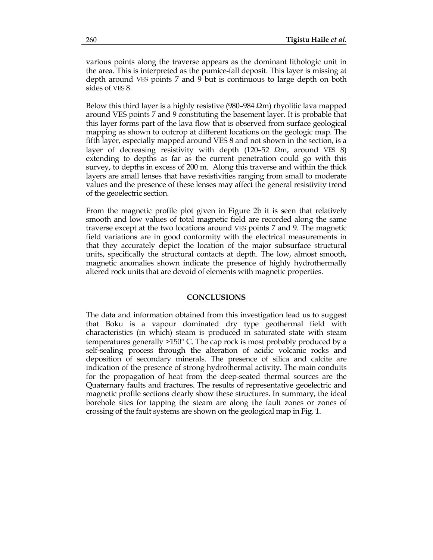various points along the traverse appears as the dominant lithologic unit in the area. This is interpreted as the pumice-fall deposit. This layer is missing at depth around VES points 7 and 9 but is continuous to large depth on both sides of VES 8.

Below this third layer is a highly resistive (980–984  $\Omega$ m) rhyolitic lava mapped around VES points 7 and 9 constituting the basement layer. It is probable that this layer forms part of the lava flow that is observed from surface geological mapping as shown to outcrop at different locations on the geologic map. The fifth layer, especially mapped around VES 8 and not shown in the section, is a layer of decreasing resistivity with depth (120–52  $\Omega$ m, around VES 8) extending to depths as far as the current penetration could go with this survey, to depths in excess of 200 m. Along this traverse and within the thick layers are small lenses that have resistivities ranging from small to moderate values and the presence of these lenses may affect the general resistivity trend of the geoelectric section.

From the magnetic profile plot given in Figure 2b it is seen that relatively smooth and low values of total magnetic field are recorded along the same traverse except at the two locations around VES points 7 and 9. The magnetic field variations are in good conformity with the electrical measurements in that they accurately depict the location of the major subsurface structural units, specifically the structural contacts at depth. The low, almost smooth, magnetic anomalies shown indicate the presence of highly hydrothermally altered rock units that are devoid of elements with magnetic properties.

### **CONCLUSIONS**

The data and information obtained from this investigation lead us to suggest that Boku is a vapour dominated dry type geothermal field with characteristics (in which) steam is produced in saturated state with steam temperatures generally >150° C. The cap rock is most probably produced by a self-sealing process through the alteration of acidic volcanic rocks and deposition of secondary minerals. The presence of silica and calcite are indication of the presence of strong hydrothermal activity. The main conduits for the propagation of heat from the deep-seated thermal sources are the Quaternary faults and fractures. The results of representative geoelectric and magnetic profile sections clearly show these structures. In summary, the ideal borehole sites for tapping the steam are along the fault zones or zones of crossing of the fault systems are shown on the geological map in Fig. 1.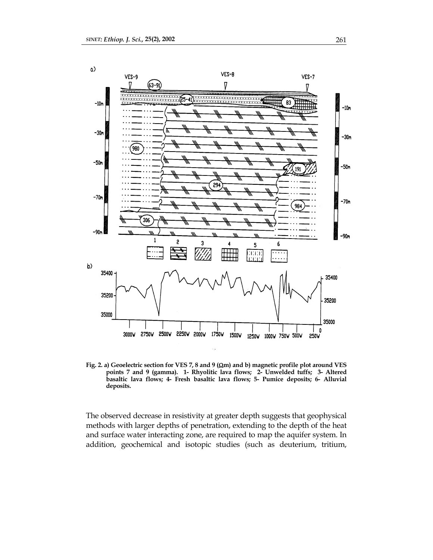

**Fig. 2. a) Geoelectric section for VES 7, 8 and 9 (**Ω**m) and b) magnetic profile plot around VES points 7 and 9 (gamma). 1- Rhyolitic lava flows; 2- Unwelded tuffs; 3- Altered basaltic lava flows; 4- Fresh basaltic lava flows; 5- Pumice deposits; 6- Alluvial deposits.** 

The observed decrease in resistivity at greater depth suggests that geophysical methods with larger depths of penetration, extending to the depth of the heat and surface water interacting zone, are required to map the aquifer system. In addition, geochemical and isotopic studies (such as deuterium, tritium,